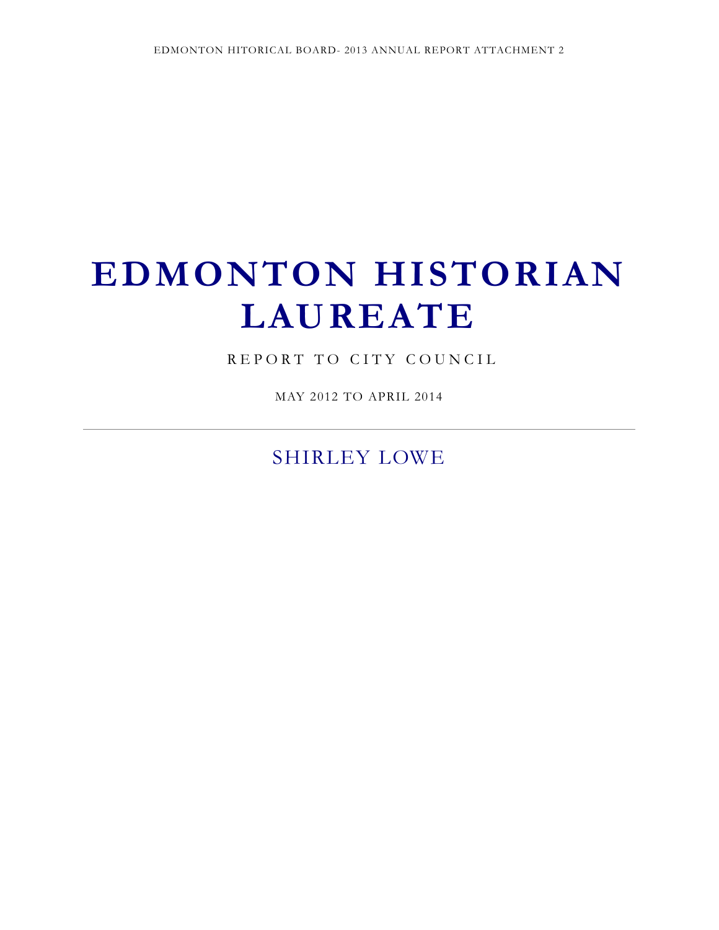# **EDMONTON HISTORIAN LAUREATE**

REPORT TO CITY COUNCIL

MAY 2012 TO APRIL 2014

SHIRLEY LOWE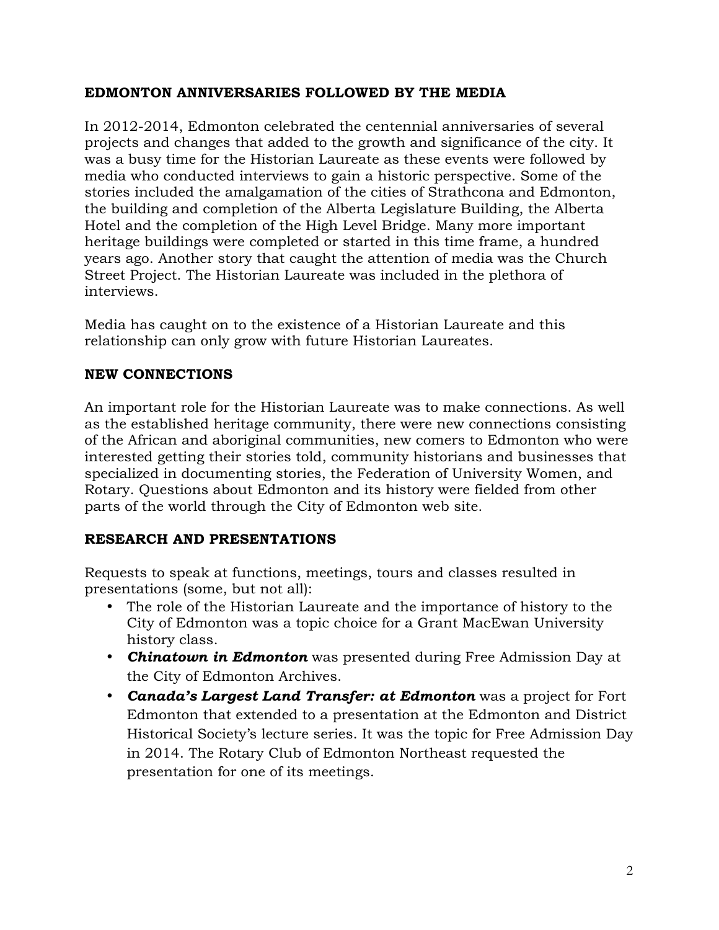#### **EDMONTON ANNIVERSARIES FOLLOWED BY THE MEDIA**

In 2012-2014, Edmonton celebrated the centennial anniversaries of several projects and changes that added to the growth and significance of the city. It was a busy time for the Historian Laureate as these events were followed by media who conducted interviews to gain a historic perspective. Some of the stories included the amalgamation of the cities of Strathcona and Edmonton, the building and completion of the Alberta Legislature Building, the Alberta Hotel and the completion of the High Level Bridge. Many more important heritage buildings were completed or started in this time frame, a hundred years ago. Another story that caught the attention of media was the Church Street Project. The Historian Laureate was included in the plethora of interviews.

Media has caught on to the existence of a Historian Laureate and this relationship can only grow with future Historian Laureates.

## **NEW CONNECTIONS**

An important role for the Historian Laureate was to make connections. As well as the established heritage community, there were new connections consisting of the African and aboriginal communities, new comers to Edmonton who were interested getting their stories told, community historians and businesses that specialized in documenting stories, the Federation of University Women, and Rotary. Questions about Edmonton and its history were fielded from other parts of the world through the City of Edmonton web site.

## **RESEARCH AND PRESENTATIONS**

Requests to speak at functions, meetings, tours and classes resulted in presentations (some, but not all):

- The role of the Historian Laureate and the importance of history to the City of Edmonton was a topic choice for a Grant MacEwan University history class.
- *Chinatown in Edmonton* was presented during Free Admission Day at the City of Edmonton Archives.
- *Canada's Largest Land Transfer: at Edmonton* was a project for Fort Edmonton that extended to a presentation at the Edmonton and District Historical Society's lecture series. It was the topic for Free Admission Day in 2014. The Rotary Club of Edmonton Northeast requested the presentation for one of its meetings.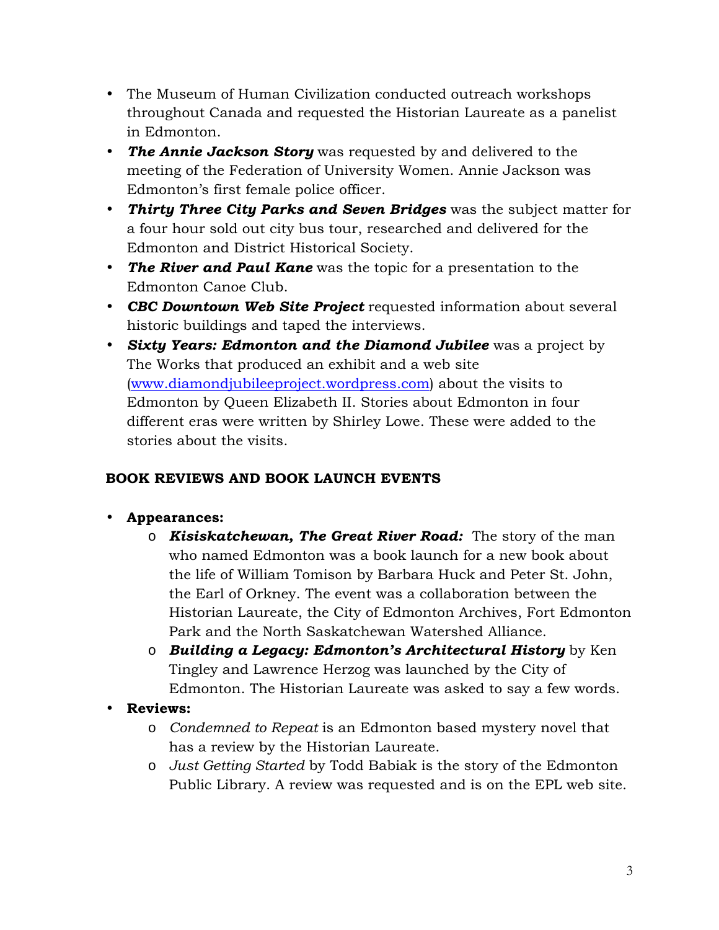- The Museum of Human Civilization conducted outreach workshops throughout Canada and requested the Historian Laureate as a panelist in Edmonton.
- *The Annie Jackson Story* was requested by and delivered to the meeting of the Federation of University Women. Annie Jackson was Edmonton's first female police officer.
- *Thirty Three City Parks and Seven Bridges* was the subject matter for a four hour sold out city bus tour, researched and delivered for the Edmonton and District Historical Society.
- *The River and Paul Kane* was the topic for a presentation to the Edmonton Canoe Club.
- *CBC Downtown Web Site Project* requested information about several historic buildings and taped the interviews.
- *Sixty Years: Edmonton and the Diamond Jubilee* was a project by The Works that produced an exhibit and a web site (www.diamondjubileeproject.wordpress.com) about the visits to Edmonton by Queen Elizabeth II. Stories about Edmonton in four different eras were written by Shirley Lowe. These were added to the stories about the visits.

## **BOOK REVIEWS AND BOOK LAUNCH EVENTS**

## • **Appearances:**

- o *Kisiskatchewan, The Great River Road:* The story of the man who named Edmonton was a book launch for a new book about the life of William Tomison by Barbara Huck and Peter St. John, the Earl of Orkney. The event was a collaboration between the Historian Laureate, the City of Edmonton Archives, Fort Edmonton Park and the North Saskatchewan Watershed Alliance.
- o *Building a Legacy: Edmonton's Architectural History* by Ken Tingley and Lawrence Herzog was launched by the City of Edmonton. The Historian Laureate was asked to say a few words.
- **Reviews:** 
	- o *Condemned to Repeat* is an Edmonton based mystery novel that has a review by the Historian Laureate.
	- o *Just Getting Started* by Todd Babiak is the story of the Edmonton Public Library. A review was requested and is on the EPL web site.